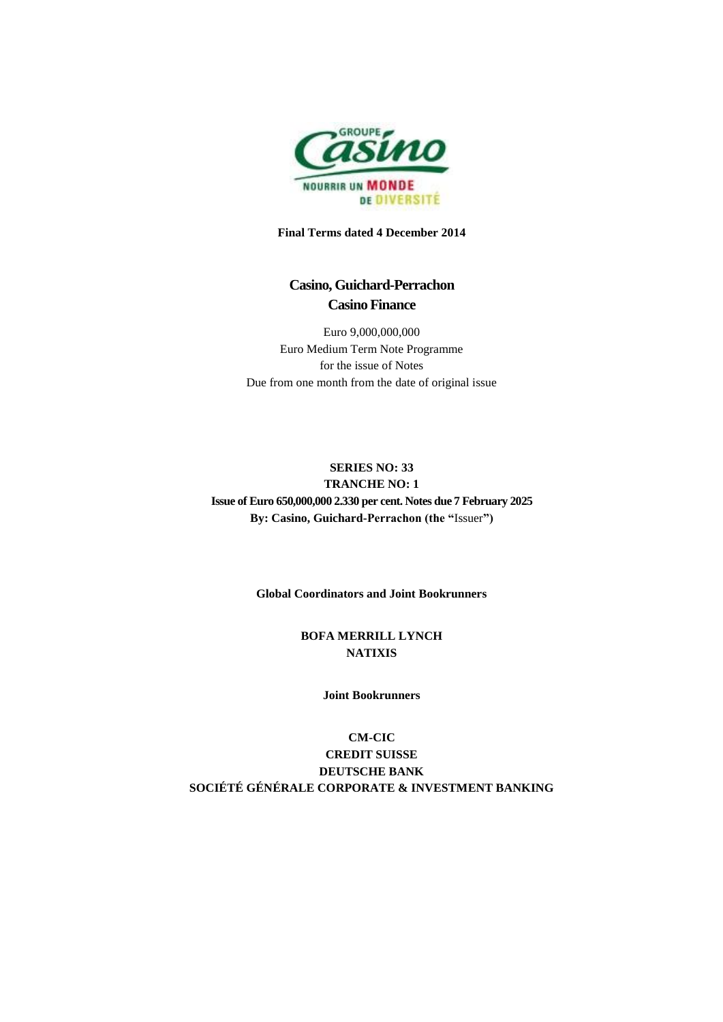

**Final Terms dated 4 December 2014**

# **Casino, Guichard-Perrachon Casino Finance**

Euro 9,000,000,000 Euro Medium Term Note Programme for the issue of Notes Due from one month from the date of original issue

## **SERIES NO: 33 TRANCHE NO: 1 Issue of Euro 650,000,000 2.330 per cent. Notes due 7 February 2025 By: Casino, Guichard-Perrachon (the "**Issuer**")**

**Global Coordinators and Joint Bookrunners**

## **BOFA MERRILL LYNCH NATIXIS**

#### **Joint Bookrunners**

**CM-CIC CREDIT SUISSE DEUTSCHE BANK SOCIÉTÉ GÉNÉRALE CORPORATE & INVESTMENT BANKING**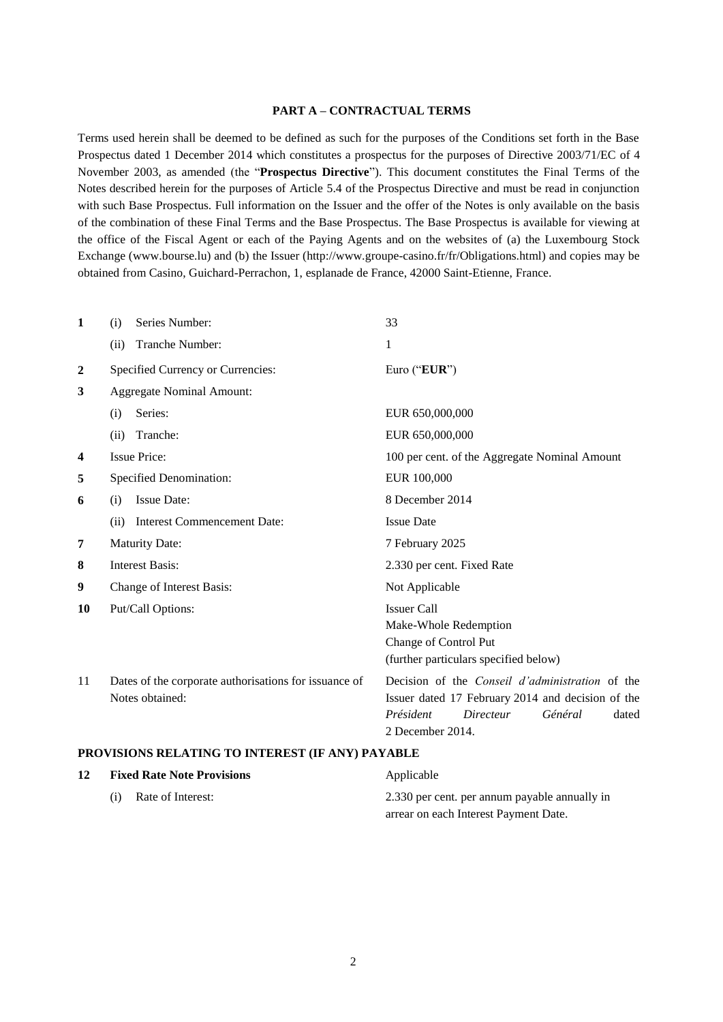#### **PART A – CONTRACTUAL TERMS**

Terms used herein shall be deemed to be defined as such for the purposes of the Conditions set forth in the Base Prospectus dated 1 December 2014 which constitutes a prospectus for the purposes of Directive 2003/71/EC of 4 November 2003, as amended (the "**Prospectus Directive**"). This document constitutes the Final Terms of the Notes described herein for the purposes of Article 5.4 of the Prospectus Directive and must be read in conjunction with such Base Prospectus. Full information on the Issuer and the offer of the Notes is only available on the basis of the combination of these Final Terms and the Base Prospectus. The Base Prospectus is available for viewing at the office of the Fiscal Agent or each of the Paying Agents and on the websites of (a) the Luxembourg Stock Exchange (www.bourse.lu) and (b) the Issuer (http://www.groupe-casino.fr/fr/Obligations.html) and copies may be obtained from Casino, Guichard-Perrachon, 1, esplanade de France, 42000 Saint-Etienne, France.

| $\mathbf{1}$                                     | Series Number:<br>(i)                                 | 33                                                     |  |  |  |
|--------------------------------------------------|-------------------------------------------------------|--------------------------------------------------------|--|--|--|
|                                                  | Tranche Number:<br>(ii)                               | 1                                                      |  |  |  |
| $\mathbf{2}$                                     | Specified Currency or Currencies:                     | Euro ("EUR")                                           |  |  |  |
| 3                                                | <b>Aggregate Nominal Amount:</b>                      |                                                        |  |  |  |
|                                                  | Series:<br>(i)                                        | EUR 650,000,000                                        |  |  |  |
|                                                  | Tranche:<br>(ii)                                      | EUR 650,000,000                                        |  |  |  |
| 4                                                | <b>Issue Price:</b>                                   | 100 per cent. of the Aggregate Nominal Amount          |  |  |  |
| 5                                                | Specified Denomination:                               | EUR 100,000                                            |  |  |  |
| 6                                                | <b>Issue Date:</b><br>(i)                             | 8 December 2014                                        |  |  |  |
|                                                  | <b>Interest Commencement Date:</b><br>(ii)            | <b>Issue Date</b>                                      |  |  |  |
| 7                                                | <b>Maturity Date:</b>                                 | 7 February 2025                                        |  |  |  |
| 8                                                | <b>Interest Basis:</b>                                | 2.330 per cent. Fixed Rate                             |  |  |  |
| 9                                                | Change of Interest Basis:                             | Not Applicable                                         |  |  |  |
| 10                                               | Put/Call Options:                                     | <b>Issuer Call</b>                                     |  |  |  |
|                                                  |                                                       | Make-Whole Redemption                                  |  |  |  |
|                                                  |                                                       | Change of Control Put                                  |  |  |  |
|                                                  |                                                       | (further particulars specified below)                  |  |  |  |
| 11                                               | Dates of the corporate authorisations for issuance of | Decision of the <i>Conseil d'administration</i> of the |  |  |  |
|                                                  | Notes obtained:                                       | Issuer dated 17 February 2014 and decision of the      |  |  |  |
|                                                  |                                                       | Président<br>Directeur<br>Général<br>dated             |  |  |  |
|                                                  |                                                       | 2 December 2014.                                       |  |  |  |
| PROVISIONS RELATING TO INTEREST (IF ANY) PAYABLE |                                                       |                                                        |  |  |  |
|                                                  |                                                       |                                                        |  |  |  |

## **12 Fixed Rate Note Provisions** Applicable (i) Rate of Interest: 2.330 per cent. per annum payable annually in arrear on each Interest Payment Date.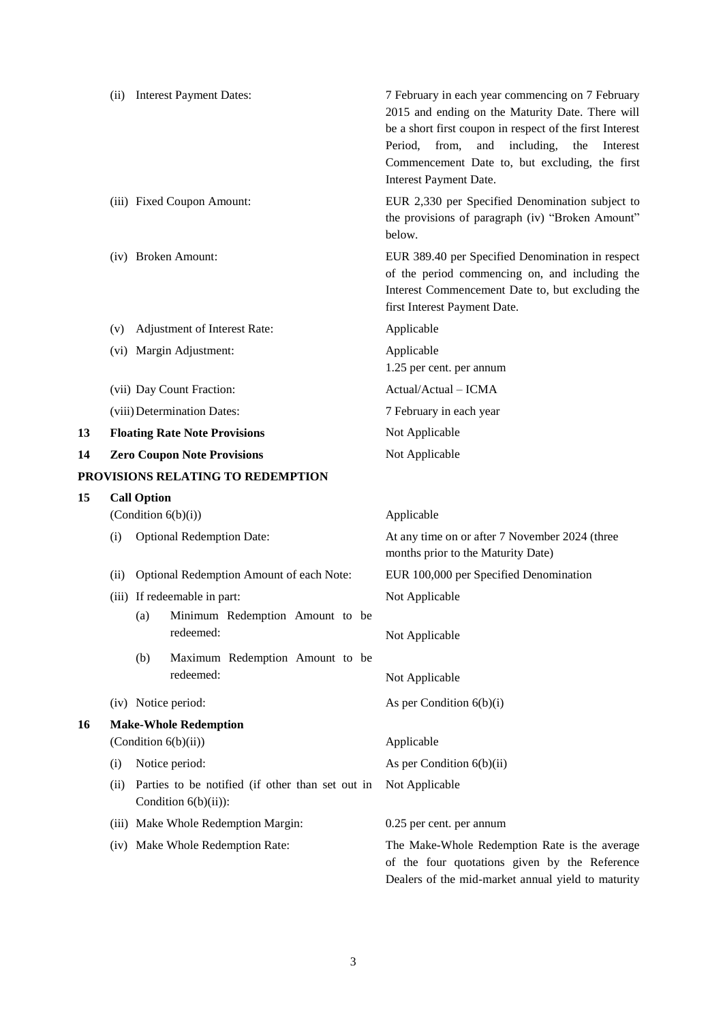|    |                                                                                    |     | (ii) Interest Payment Dates:             | 7 February in each year commencing on 7 February<br>2015 and ending on the Maturity Date. There will<br>be a short first coupon in respect of the first Interest<br>including,<br>Period,<br>from,<br>and<br>the<br>Interest<br>Commencement Date to, but excluding, the first<br>Interest Payment Date. |  |  |
|----|------------------------------------------------------------------------------------|-----|------------------------------------------|----------------------------------------------------------------------------------------------------------------------------------------------------------------------------------------------------------------------------------------------------------------------------------------------------------|--|--|
|    |                                                                                    |     | (iii) Fixed Coupon Amount:               | EUR 2,330 per Specified Denomination subject to<br>the provisions of paragraph (iv) "Broken Amount"<br>below.                                                                                                                                                                                            |  |  |
|    |                                                                                    |     | (iv) Broken Amount:                      | EUR 389.40 per Specified Denomination in respect<br>of the period commencing on, and including the<br>Interest Commencement Date to, but excluding the<br>first Interest Payment Date.                                                                                                                   |  |  |
|    | (v)                                                                                |     | Adjustment of Interest Rate:             | Applicable                                                                                                                                                                                                                                                                                               |  |  |
|    |                                                                                    |     | (vi) Margin Adjustment:                  | Applicable<br>1.25 per cent. per annum                                                                                                                                                                                                                                                                   |  |  |
|    |                                                                                    |     | (vii) Day Count Fraction:                | Actual/Actual - ICMA                                                                                                                                                                                                                                                                                     |  |  |
|    |                                                                                    |     | (viii) Determination Dates:              | 7 February in each year                                                                                                                                                                                                                                                                                  |  |  |
| 13 |                                                                                    |     | <b>Floating Rate Note Provisions</b>     | Not Applicable                                                                                                                                                                                                                                                                                           |  |  |
| 14 |                                                                                    |     | <b>Zero Coupon Note Provisions</b>       | Not Applicable                                                                                                                                                                                                                                                                                           |  |  |
|    |                                                                                    |     | PROVISIONS RELATING TO REDEMPTION        |                                                                                                                                                                                                                                                                                                          |  |  |
| 15 | <b>Call Option</b>                                                                 |     |                                          |                                                                                                                                                                                                                                                                                                          |  |  |
|    | (Condition $6(b)(i)$ )                                                             |     |                                          | Applicable                                                                                                                                                                                                                                                                                               |  |  |
|    | (i)                                                                                |     | <b>Optional Redemption Date:</b>         | At any time on or after 7 November 2024 (three<br>months prior to the Maturity Date)                                                                                                                                                                                                                     |  |  |
|    | (ii)                                                                               |     | Optional Redemption Amount of each Note: | EUR 100,000 per Specified Denomination                                                                                                                                                                                                                                                                   |  |  |
|    |                                                                                    |     | (iii) If redeemable in part:             | Not Applicable                                                                                                                                                                                                                                                                                           |  |  |
|    |                                                                                    | (a) | Minimum Redemption Amount to be          |                                                                                                                                                                                                                                                                                                          |  |  |
|    |                                                                                    |     | redeemed:                                | Not Applicable                                                                                                                                                                                                                                                                                           |  |  |
|    |                                                                                    | (b) | Maximum Redemption Amount to be          |                                                                                                                                                                                                                                                                                                          |  |  |
|    |                                                                                    |     | redeemed:                                | Not Applicable                                                                                                                                                                                                                                                                                           |  |  |
|    |                                                                                    |     | (iv) Notice period:                      | As per Condition $6(b)(i)$                                                                                                                                                                                                                                                                               |  |  |
| 16 | <b>Make-Whole Redemption</b>                                                       |     |                                          |                                                                                                                                                                                                                                                                                                          |  |  |
|    |                                                                                    |     | (Condition 6(b)(ii))                     | Applicable                                                                                                                                                                                                                                                                                               |  |  |
|    | (i)                                                                                |     | Notice period:                           | As per Condition $6(b)(ii)$                                                                                                                                                                                                                                                                              |  |  |
|    | Parties to be notified (if other than set out in<br>(ii)<br>Condition $6(b)(ii)$ : |     |                                          | Not Applicable                                                                                                                                                                                                                                                                                           |  |  |
|    |                                                                                    |     | (iii) Make Whole Redemption Margin:      | 0.25 per cent. per annum                                                                                                                                                                                                                                                                                 |  |  |
|    |                                                                                    |     | (iv) Make Whole Redemption Rate:         | The Make-Whole Redemption Rate is the average<br>of the four quotations given by the Reference<br>Dealers of the mid-market annual yield to maturity                                                                                                                                                     |  |  |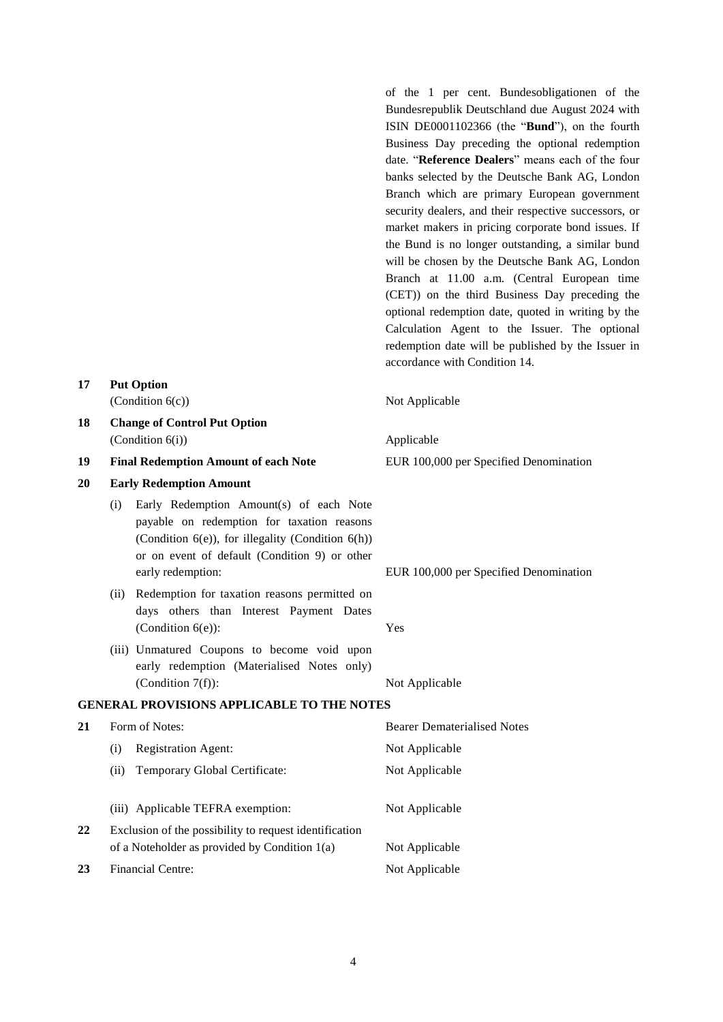banks selected by the Deutsche Bank AG, London Branch which are primary European government security dealers, and their respective successors, or market makers in pricing corporate bond issues. If the Bund is no longer outstanding, a similar bund will be chosen by the Deutsche Bank AG, London Branch at 11.00 a.m. (Central European time (CET)) on the third Business Day preceding the optional redemption date, quoted in writing by the Calculation Agent to the Issuer. The optional redemption date will be published by the Issuer in accordance with Condition 14. **17 Put Option**  $(Condition 6(c))$  Not Applicable **18 Change of Control Put Option** (Condition 6(i)) Applicable **19 Final Redemption Amount of each Note** EUR 100,000 per Specified Denomination **20 Early Redemption Amount** (i) Early Redemption Amount(s) of each Note payable on redemption for taxation reasons (Condition  $6(e)$ ), for illegality (Condition  $6(h)$ ) or on event of default (Condition 9) or other early redemption: EUR 100,000 per Specified Denomination (ii) Redemption for taxation reasons permitted on days others than Interest Payment Dates (Condition 6(e)): Yes (iii) Unmatured Coupons to become void upon early redemption (Materialised Notes only) (Condition 7(f)): Not Applicable **GENERAL PROVISIONS APPLICABLE TO THE NOTES 21** Form of Notes: **Bearer Dematerialised Notes** (i) Registration Agent: Not Applicable (ii) Temporary Global Certificate: Not Applicable (iii) Applicable TEFRA exemption: Not Applicable **22** Exclusion of the possibility to request identification of a Noteholder as provided by Condition  $1(a)$  Not Applicable

of the 1 per cent. Bundesobligationen of the Bundesrepublik Deutschland due August 2024 with ISIN DE0001102366 (the "**Bund**"), on the fourth Business Day preceding the optional redemption date. "**Reference Dealers**" means each of the four

23 Financial Centre: Not Applicable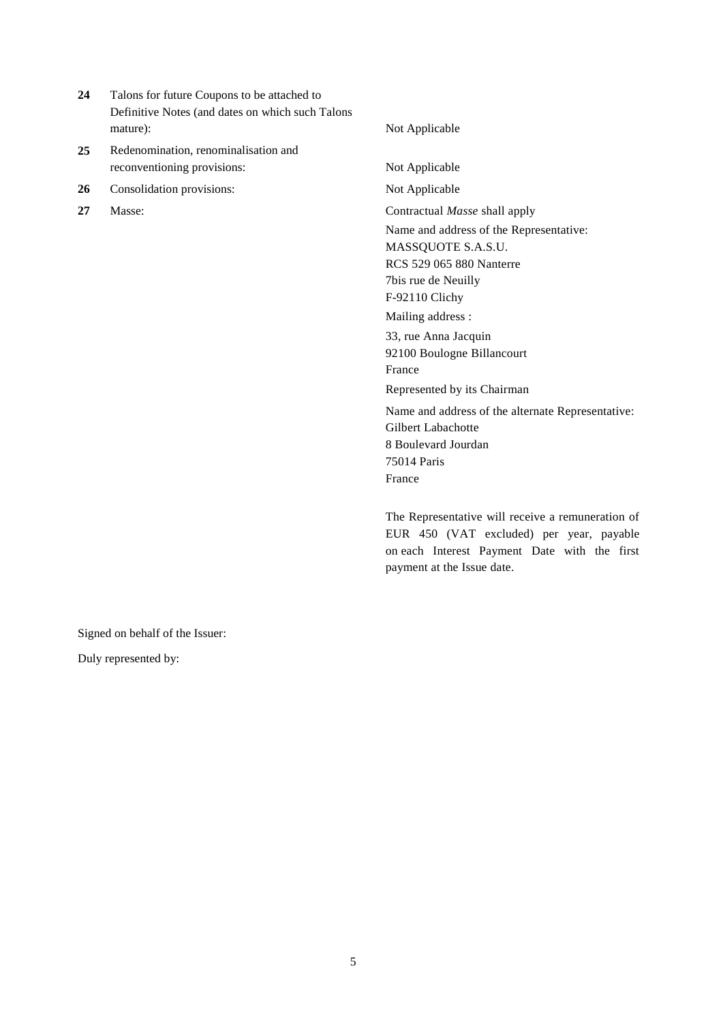- **24** Talons for future Coupons to be attached to Definitive Notes (and dates on which such Talons mature): Not Applicable
- **25** Redenomination, renominalisation and reconventioning provisions: Not Applicable
- 26 Consolidation provisions: Not Applicable
- 

**27** Masse: Contractual *Masse* shall apply Name and address of the Representative: MASSQUOTE S.A.S.U. RCS 529 065 880 Nanterre 7bis rue de Neuilly F-92110 Clichy Mailing address : 33, rue Anna Jacquin 92100 Boulogne Billancourt France Represented by its Chairman Name and address of the alternate Representative: Gilbert Labachotte 8 Boulevard Jourdan 75014 Paris France

> The Representative will receive a remuneration of EUR 450 (VAT excluded) per year, payable on each Interest Payment Date with the first payment at the Issue date.

Signed on behalf of the Issuer:

Duly represented by: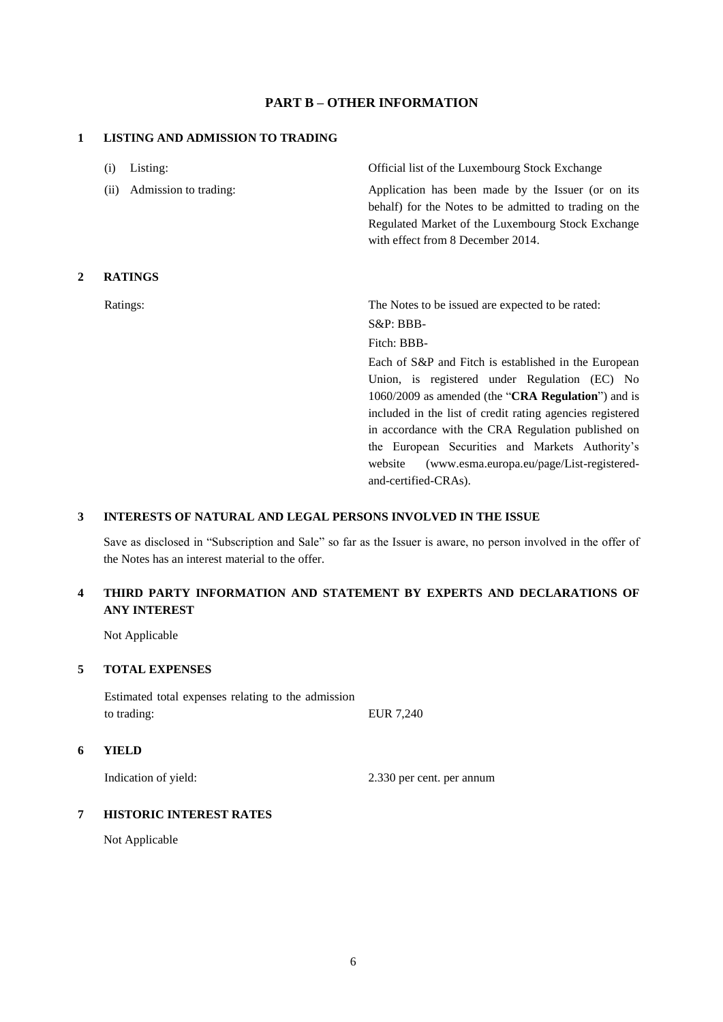## **PART B – OTHER INFORMATION**

#### **1 LISTING AND ADMISSION TO TRADING**

|   | Listing:<br>(i)               | Official list of the Luxembourg Stock Exchange                                                                                                                                                         |
|---|-------------------------------|--------------------------------------------------------------------------------------------------------------------------------------------------------------------------------------------------------|
|   | (ii)<br>Admission to trading: | Application has been made by the Issuer (or on its<br>behalf) for the Notes to be admitted to trading on the<br>Regulated Market of the Luxembourg Stock Exchange<br>with effect from 8 December 2014. |
| 2 | <b>RATINGS</b>                |                                                                                                                                                                                                        |
|   | Ratings:                      | The Notes to be issued are expected to be rated:                                                                                                                                                       |
|   |                               | $S\&P:BBB-$                                                                                                                                                                                            |
|   |                               | Fitch: BBB-                                                                                                                                                                                            |
|   |                               | Each of S&P and Fitch is established in the European                                                                                                                                                   |
|   |                               | Union, is registered under Regulation (EC) No                                                                                                                                                          |
|   |                               | 1060/2009 as amended (the "CRA Regulation") and is                                                                                                                                                     |
|   |                               | included in the list of credit rating agencies registered                                                                                                                                              |
|   |                               | in accordance with the CRA Regulation published on                                                                                                                                                     |
|   |                               | the European Securities and Markets Authority's                                                                                                                                                        |
|   |                               | (www.esma.europa.eu/page/List-registered-<br>website                                                                                                                                                   |
|   |                               | and-certified-CRAs).                                                                                                                                                                                   |

### **3 INTERESTS OF NATURAL AND LEGAL PERSONS INVOLVED IN THE ISSUE**

Save as disclosed in "Subscription and Sale" so far as the Issuer is aware, no person involved in the offer of the Notes has an interest material to the offer.

## **4 THIRD PARTY INFORMATION AND STATEMENT BY EXPERTS AND DECLARATIONS OF ANY INTEREST**

Not Applicable

#### **5 TOTAL EXPENSES**

Estimated total expenses relating to the admission to trading: EUR 7,240

#### **6 YIELD**

Indication of yield: 2.330 per cent. per annum

## **7 HISTORIC INTEREST RATES**

Not Applicable